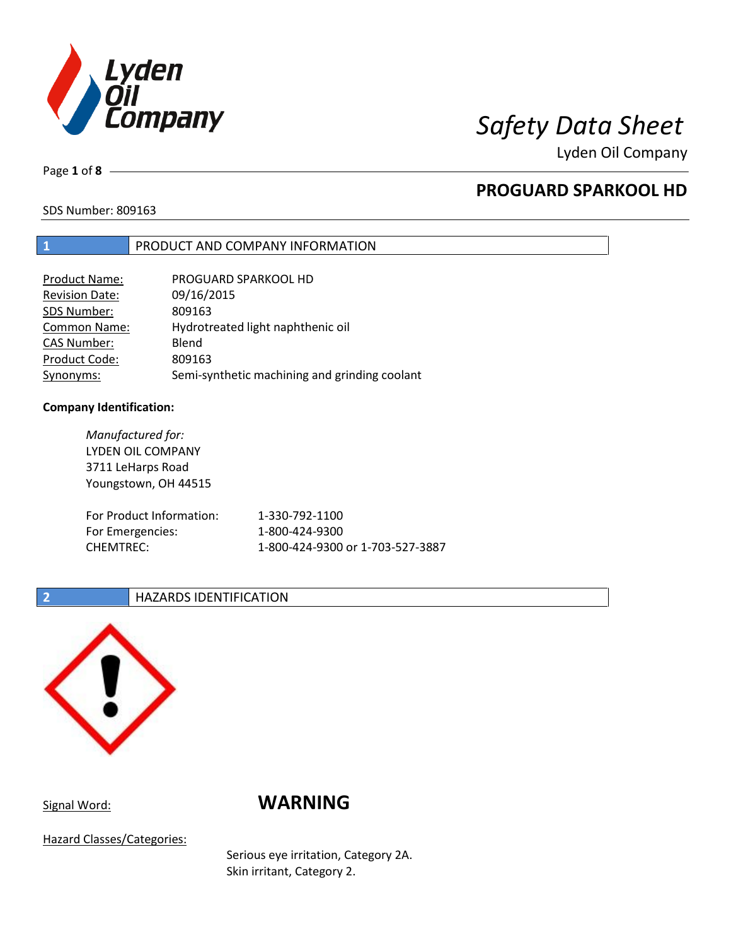

Lyden Oil Company

Page **1** of **8**

# **PROGUARD SPARKOOL HD**

SDS Number: 809163

### **1** PRODUCT AND COMPANY INFORMATION

| Product Name:         | PROGUARD SPARKOOL HD                          |
|-----------------------|-----------------------------------------------|
| <b>Revision Date:</b> | 09/16/2015                                    |
| SDS Number:           | 809163                                        |
| <b>Common Name:</b>   | Hydrotreated light naphthenic oil             |
| <b>CAS Number:</b>    | Blend                                         |
| Product Code:         | 809163                                        |
| Synonyms:             | Semi-synthetic machining and grinding coolant |

### **Company Identification:**

*Manufactured for:* LYDEN OIL COMPANY 3711 LeHarps Road Youngstown, OH 44515 For Product Information: 1-330-792-1100 For Emergencies: 1-800-424-9300 CHEMTREC: 1-800-424-9300 or 1-703-527-3887

### **2 HAZARDS IDENTIFICATION**



# Signal Word: **WARNING**

Hazard Classes/Categories:

Serious eye irritation, Category 2A. Skin irritant, Category 2.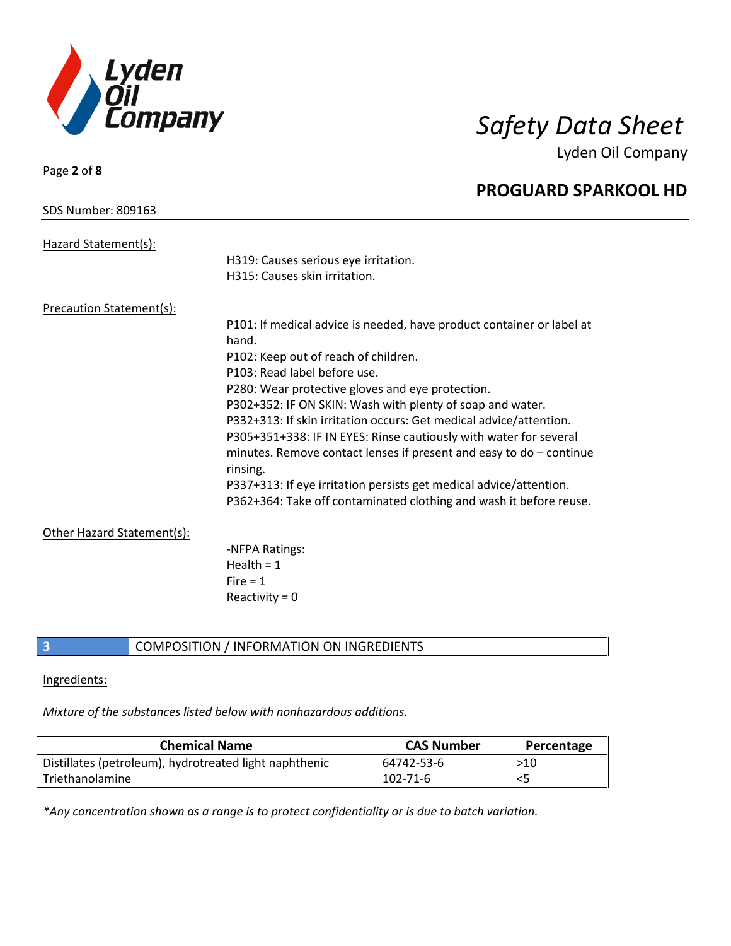

Page **2** of **8**

Lyden Oil Company

|                            | <b>PROGUARD SPARKOOL HD</b>                                                    |
|----------------------------|--------------------------------------------------------------------------------|
| <b>SDS Number: 809163</b>  |                                                                                |
| Hazard Statement(s):       |                                                                                |
|                            | H319: Causes serious eye irritation.                                           |
|                            | H315: Causes skin irritation.                                                  |
| Precaution Statement(s):   |                                                                                |
|                            | P101: If medical advice is needed, have product container or label at<br>hand. |
|                            |                                                                                |
|                            | P102: Keep out of reach of children.<br>P103: Read label before use.           |
|                            | P280: Wear protective gloves and eye protection.                               |
|                            | P302+352: IF ON SKIN: Wash with plenty of soap and water.                      |
|                            | P332+313: If skin irritation occurs: Get medical advice/attention.             |
|                            | P305+351+338: IF IN EYES: Rinse cautiously with water for several              |
|                            | minutes. Remove contact lenses if present and easy to $do$ – continue          |
|                            |                                                                                |
|                            | rinsing.                                                                       |
|                            | P337+313: If eye irritation persists get medical advice/attention.             |
|                            | P362+364: Take off contaminated clothing and wash it before reuse.             |
| Other Hazard Statement(s): |                                                                                |
|                            | -NFPA Ratings:                                                                 |
|                            | Health = $1$                                                                   |
|                            | Fire $= 1$                                                                     |
|                            | Reactivity = $0$                                                               |
|                            |                                                                                |

**3** COMPOSITION / INFORMATION ON INGREDIENTS

### Ingredients:

*Mixture of the substances listed below with nonhazardous additions.*

| <b>Chemical Name</b>                                   | <b>CAS Number</b> | Percentage |
|--------------------------------------------------------|-------------------|------------|
| Distillates (petroleum), hydrotreated light naphthenic | 64742-53-6        | >10        |
| Triethanolamine                                        | $102 - 71 - 6$    | <5         |

*\*Any concentration shown as a range is to protect confidentiality or is due to batch variation.*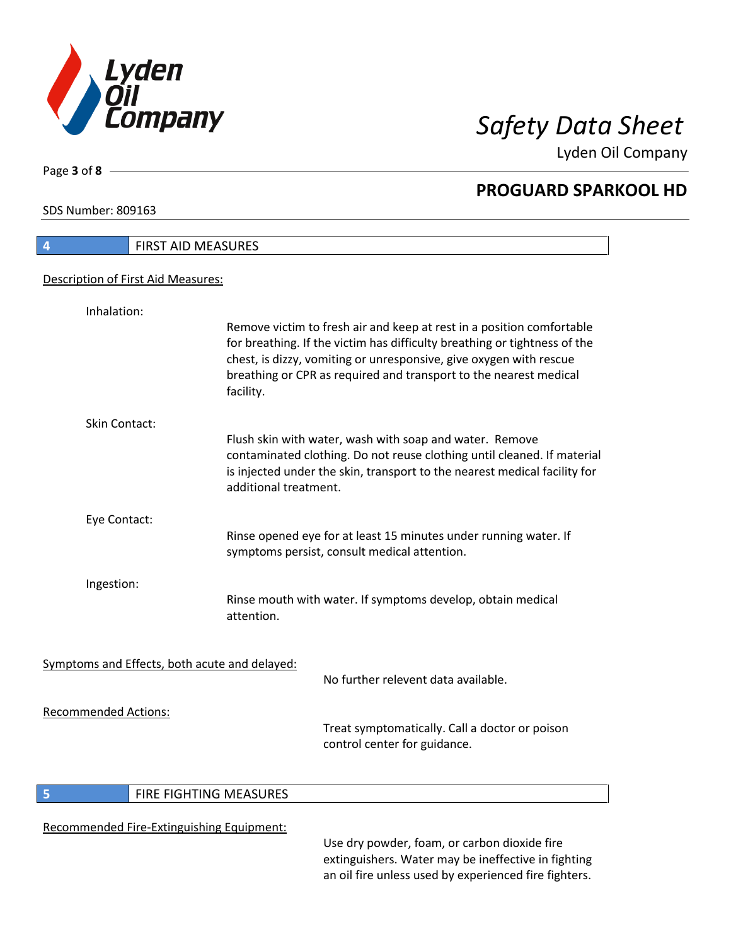

**PROGUARD SPARKOOL HD**

Lyden Oil Company

SDS Number: 809163

Page **3** of **8**

 $\overline{\phantom{a}}$ 

| 4                           | FIRST AID MEASURES                                                                                                                                                                                                                                                                                         |  |
|-----------------------------|------------------------------------------------------------------------------------------------------------------------------------------------------------------------------------------------------------------------------------------------------------------------------------------------------------|--|
|                             | Description of First Aid Measures:                                                                                                                                                                                                                                                                         |  |
| Inhalation:                 |                                                                                                                                                                                                                                                                                                            |  |
|                             | Remove victim to fresh air and keep at rest in a position comfortable<br>for breathing. If the victim has difficulty breathing or tightness of the<br>chest, is dizzy, vomiting or unresponsive, give oxygen with rescue<br>breathing or CPR as required and transport to the nearest medical<br>facility. |  |
| Skin Contact:               |                                                                                                                                                                                                                                                                                                            |  |
|                             | Flush skin with water, wash with soap and water. Remove<br>contaminated clothing. Do not reuse clothing until cleaned. If material<br>is injected under the skin, transport to the nearest medical facility for<br>additional treatment.                                                                   |  |
| Eye Contact:                |                                                                                                                                                                                                                                                                                                            |  |
|                             | Rinse opened eye for at least 15 minutes under running water. If<br>symptoms persist, consult medical attention.                                                                                                                                                                                           |  |
| Ingestion:                  |                                                                                                                                                                                                                                                                                                            |  |
|                             | Rinse mouth with water. If symptoms develop, obtain medical<br>attention.                                                                                                                                                                                                                                  |  |
|                             | Symptoms and Effects, both acute and delayed:                                                                                                                                                                                                                                                              |  |
|                             | No further relevent data available.                                                                                                                                                                                                                                                                        |  |
| <b>Recommended Actions:</b> | Treat symptomatically. Call a doctor or poison<br>control center for guidance.                                                                                                                                                                                                                             |  |

### **5 FIRE FIGHTING MEASURES**

### Recommended Fire-Extinguishing Equipment:

Use dry powder, foam, or carbon dioxide fire extinguishers. Water may be ineffective in fighting an oil fire unless used by experienced fire fighters.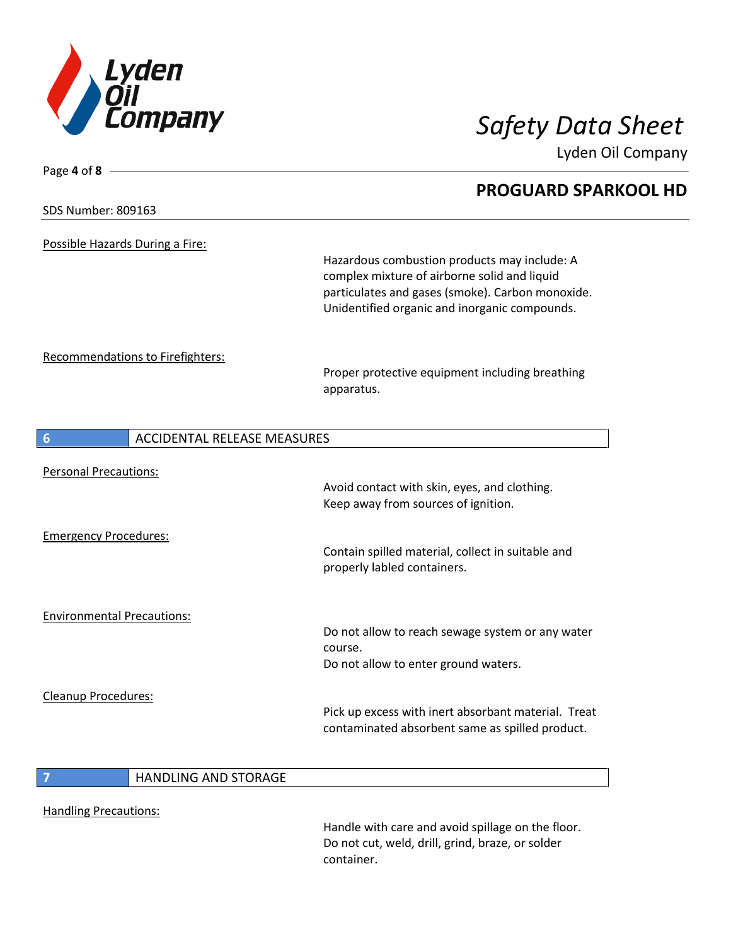

Lyden Oil Company

# Page **4** of **8 PROGUARD SPARKOOL HD** SDS Number: 809163 Possible Hazards During a Fire: Hazardous combustion products may include: A complex mixture of airborne solid and liquid particulates and gases (smoke). Carbon monoxide. Unidentified organic and inorganic compounds. Recommendations to Firefighters: Proper protective equipment including breathing apparatus. **6** ACCIDENTAL RELEASE MEASURES Personal Precautions: Avoid contact with skin, eyes, and clothing. Keep away from sources of ignition. Emergency Procedures: Contain spilled material, collect in suitable and properly labled containers. Environmental Precautions: Do not allow to reach sewage system or any water course. Do not allow to enter ground waters. Cleanup Procedures: Pick up excess with inert absorbant material. Treat contaminated absorbent same as spilled product. **7** HANDLING AND STORAGE

Handling Precautions:

Handle with care and avoid spillage on the floor. Do not cut, weld, drill, grind, braze, or solder container.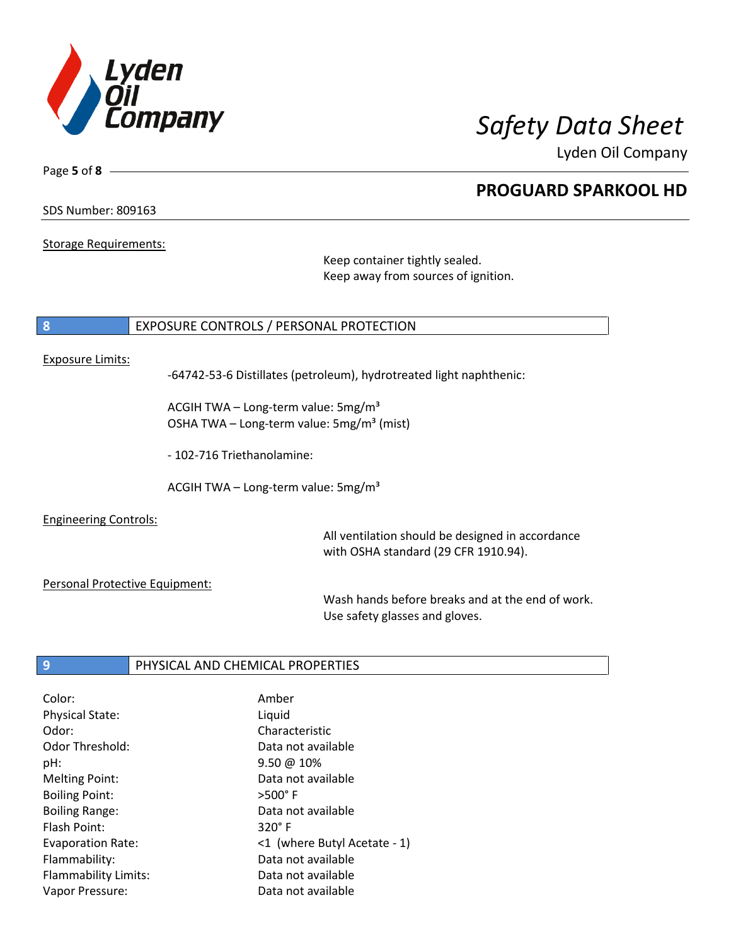

**PROGUARD SPARKOOL HD**

Lyden Oil Company

SDS Number: 809163

Page **5** of **8**

Storage Requirements:

Keep container tightly sealed. Keep away from sources of ignition.

### **8** EXPOSURE CONTROLS / PERSONAL PROTECTION

### Exposure Limits:

-64742-53-6 Distillates (petroleum), hydrotreated light naphthenic:

ACGIH TWA – Long-term value:  $5mg/m<sup>3</sup>$ OSHA TWA – Long-term value:  $5mg/m<sup>3</sup>$  (mist)

- 102-716 Triethanolamine:

ACGIH TWA - Long-term value:  $5mg/m<sup>3</sup>$ 

Engineering Controls:

All ventilation should be designed in accordance with OSHA standard (29 CFR 1910.94).

Personal Protective Equipment:

Wash hands before breaks and at the end of work. Use safety glasses and gloves.

### **9** PHYSICAL AND CHEMICAL PROPERTIES

| Color:                   | Amber                        |
|--------------------------|------------------------------|
|                          |                              |
| <b>Physical State:</b>   | Liquid                       |
| Odor:                    | Characteristic               |
| Odor Threshold:          | Data not available           |
| pH:                      | $9.50 \ @ 10\%$              |
| <b>Melting Point:</b>    | Data not available           |
| <b>Boiling Point:</b>    | $>500^\circ$ F               |
| <b>Boiling Range:</b>    | Data not available           |
| Flash Point:             | $320^\circ$ F                |
| <b>Evaporation Rate:</b> | <1 (where Butyl Acetate - 1) |
| Flammability:            | Data not available           |
| Flammability Limits:     | Data not available           |
| Vapor Pressure:          | Data not available           |
|                          |                              |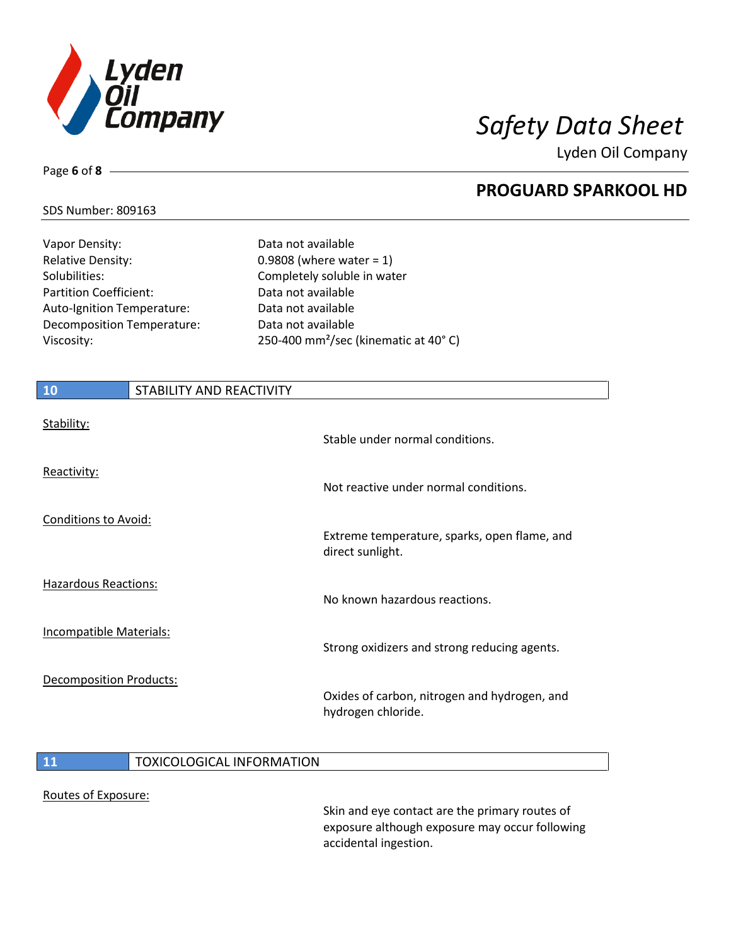

**PROGUARD SPARKOOL HD**

Lyden Oil Company

### SDS Number: 809163

Page **6** of **8**

| Vapor Density:             |
|----------------------------|
| <b>Relative Density:</b>   |
| Solubilities:              |
| Partition Coefficient:     |
| Auto-Ignition Temperature: |
| Decomposition Temperature: |
| Viscosity:                 |
|                            |

Data not available  $0.9808$  (where water = 1) Completely soluble in water Data not available Data not available Data not available 250-400 mm<sup>2</sup>/sec (kinematic at 40 $^{\circ}$  C)

| 10                          | STABILITY AND REACTIVITY |                                                                    |
|-----------------------------|--------------------------|--------------------------------------------------------------------|
| Stability:                  |                          | Stable under normal conditions.                                    |
| Reactivity:                 |                          | Not reactive under normal conditions.                              |
| Conditions to Avoid:        |                          | Extreme temperature, sparks, open flame, and<br>direct sunlight.   |
| <b>Hazardous Reactions:</b> |                          | No known hazardous reactions.                                      |
| Incompatible Materials:     |                          | Strong oxidizers and strong reducing agents.                       |
| Decomposition Products:     |                          | Oxides of carbon, nitrogen and hydrogen, and<br>hydrogen chloride. |

### **11 TOXICOLOGICAL INFORMATION**

### Routes of Exposure:

Skin and eye contact are the primary routes of exposure although exposure may occur following accidental ingestion.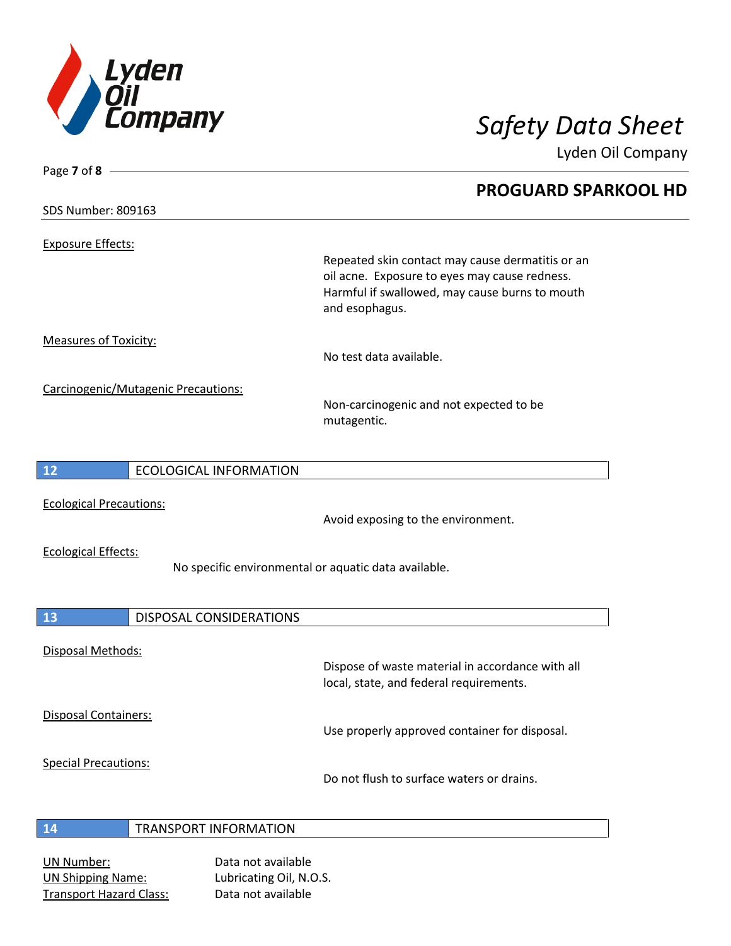

|                                |                                     | Lyden Oil Company                                                                                                                                                     |
|--------------------------------|-------------------------------------|-----------------------------------------------------------------------------------------------------------------------------------------------------------------------|
| Page 7 of $8 -$                |                                     | <b>PROGUARD SPARKOOL HD</b>                                                                                                                                           |
| SDS Number: 809163             |                                     |                                                                                                                                                                       |
| Exposure Effects:              |                                     |                                                                                                                                                                       |
|                                |                                     | Repeated skin contact may cause dermatitis or an<br>oil acne. Exposure to eyes may cause redness.<br>Harmful if swallowed, may cause burns to mouth<br>and esophagus. |
| Measures of Toxicity:          |                                     | No test data available.                                                                                                                                               |
|                                | Carcinogenic/Mutagenic Precautions: | Non-carcinogenic and not expected to be<br>mutagentic.                                                                                                                |
| 12                             | <b>ECOLOGICAL INFORMATION</b>       |                                                                                                                                                                       |
| <b>Ecological Precautions:</b> |                                     | Avoid exposing to the environment.                                                                                                                                    |
| <b>Ecological Effects:</b>     |                                     | No specific environmental or aquatic data available.                                                                                                                  |
| 13                             | DISPOSAL CONSIDERATIONS             |                                                                                                                                                                       |
| Disposal Methods:              |                                     | Dispose of waste material in accordance with all                                                                                                                      |
| Disposal Containers:           |                                     | local, state, and federal requirements.                                                                                                                               |
|                                |                                     | Use properly approved container for disposal.                                                                                                                         |
| <b>Special Precautions:</b>    |                                     | Do not flush to surface waters or drains.                                                                                                                             |

## **14** TRANSPORT INFORMATION

UN Number: Data not available UN Shipping Name: Lubricating Oil, N.O.S. Transport Hazard Class: Data not available